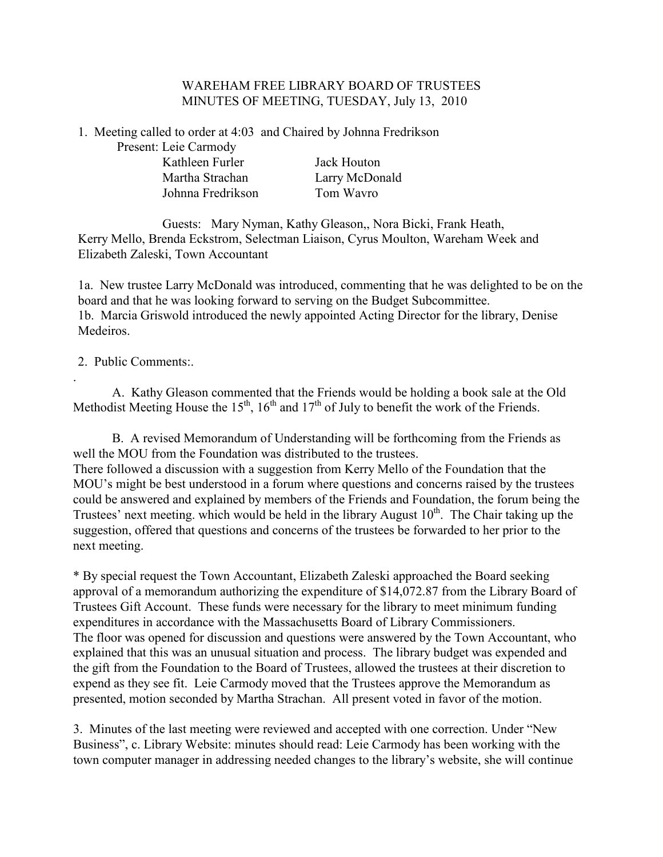#### WAREHAM FREE LIBRARY BOARD OF TRUSTEES MINUTES OF MEETING, TUESDAY, July 13, 2010

1. Meeting called to order at 4:03 and Chaired by Johnna Fredrikson

Present: Leie Carmody Kathleen Furler Jack Houton Martha Strachan Larry McDonald Johnna Fredrikson Tom Wavro

 Guests: Mary Nyman, Kathy Gleason,, Nora Bicki, Frank Heath, Kerry Mello, Brenda Eckstrom, Selectman Liaison, Cyrus Moulton, Wareham Week and Elizabeth Zaleski, Town Accountant

1a. New trustee Larry McDonald was introduced, commenting that he was delighted to be on the board and that he was looking forward to serving on the Budget Subcommittee. 1b. Marcia Griswold introduced the newly appointed Acting Director for the library, Denise Medeiros.

## 2. Public Comments:.

.

A. Kathy Gleason commented that the Friends would be holding a book sale at the Old Methodist Meeting House the 15<sup>th</sup>, 16<sup>th</sup> and 17<sup>th</sup> of July to benefit the work of the Friends.

B. A revised Memorandum of Understanding will be forthcoming from the Friends as well the MOU from the Foundation was distributed to the trustees. There followed a discussion with a suggestion from Kerry Mello of the Foundation that the MOU's might be best understood in a forum where questions and concerns raised by the trustees could be answered and explained by members of the Friends and Foundation, the forum being the Trustees' next meeting. which would be held in the library August  $10<sup>th</sup>$ . The Chair taking up the suggestion, offered that questions and concerns of the trustees be forwarded to her prior to the next meeting.

\* By special request the Town Accountant, Elizabeth Zaleski approached the Board seeking approval of a memorandum authorizing the expenditure of \$14,072.87 from the Library Board of Trustees Gift Account. These funds were necessary for the library to meet minimum funding expenditures in accordance with the Massachusetts Board of Library Commissioners. The floor was opened for discussion and questions were answered by the Town Accountant, who explained that this was an unusual situation and process. The library budget was expended and the gift from the Foundation to the Board of Trustees, allowed the trustees at their discretion to expend as they see fit. Leie Carmody moved that the Trustees approve the Memorandum as presented, motion seconded by Martha Strachan. All present voted in favor of the motion.

3. Minutes of the last meeting were reviewed and accepted with one correction. Under "New Business", c. Library Website: minutes should read: Leie Carmody has been working with the town computer manager in addressing needed changes to the library's website, she will continue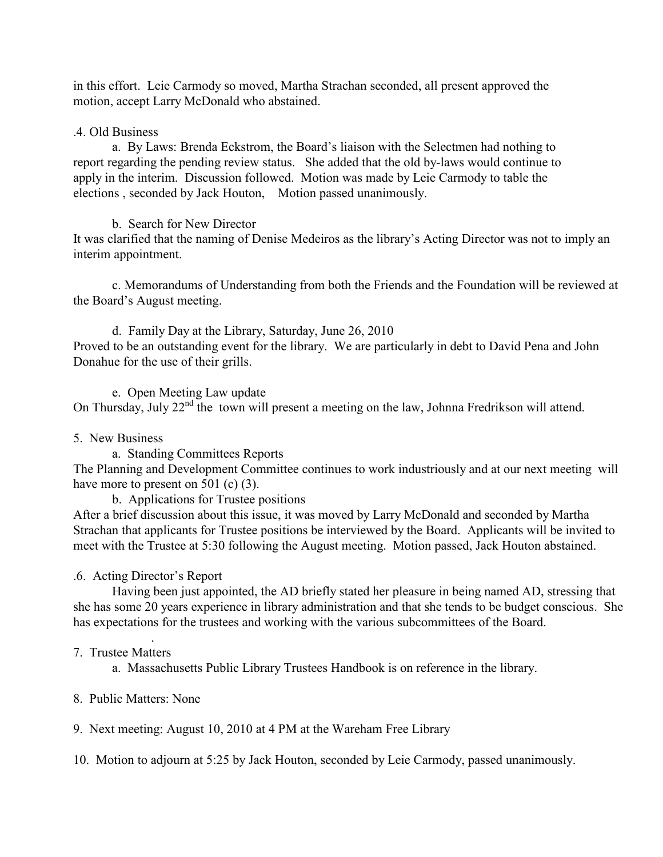in this effort. Leie Carmody so moved, Martha Strachan seconded, all present approved the motion, accept Larry McDonald who abstained.

## .4. Old Business

a. By Laws: Brenda Eckstrom, the Board's liaison with the Selectmen had nothing to report regarding the pending review status. She added that the old by-laws would continue to apply in the interim. Discussion followed. Motion was made by Leie Carmody to table the elections , seconded by Jack Houton, Motion passed unanimously.

## b. Search for New Director

It was clarified that the naming of Denise Medeiros as the library's Acting Director was not to imply an interim appointment.

c. Memorandums of Understanding from both the Friends and the Foundation will be reviewed at the Board's August meeting.

d. Family Day at the Library, Saturday, June 26, 2010 Proved to be an outstanding event for the library. We are particularly in debt to David Pena and John Donahue for the use of their grills.

e. Open Meeting Law update On Thursday, July 22<sup>nd</sup> the town will present a meeting on the law, Johnna Fredrikson will attend.

# 5. New Business

a. Standing Committees Reports

The Planning and Development Committee continues to work industriously and at our next meeting will have more to present on 501 (c) (3).

b. Applications for Trustee positions

After a brief discussion about this issue, it was moved by Larry McDonald and seconded by Martha Strachan that applicants for Trustee positions be interviewed by the Board. Applicants will be invited to meet with the Trustee at 5:30 following the August meeting. Motion passed, Jack Houton abstained.

# .6. Acting Director's Report

Having been just appointed, the AD briefly stated her pleasure in being named AD, stressing that she has some 20 years experience in library administration and that she tends to be budget conscious. She has expectations for the trustees and working with the various subcommittees of the Board.

#### . 7. Trustee Matters

a. Massachusetts Public Library Trustees Handbook is on reference in the library.

# 8. Public Matters: None

9. Next meeting: August 10, 2010 at 4 PM at the Wareham Free Library

10. Motion to adjourn at 5:25 by Jack Houton, seconded by Leie Carmody, passed unanimously.